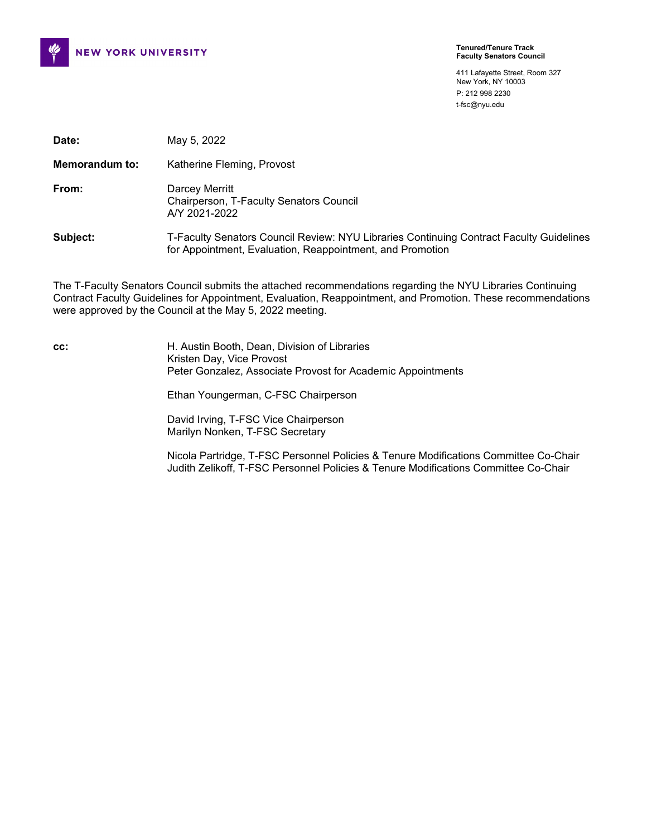

411 Lafayette Street, Room 327 New York, NY 10003 P: 212 998 2230 t-fsc@nyu.edu

| Date:                 | May 5, 2022                                                                                                                                          |
|-----------------------|------------------------------------------------------------------------------------------------------------------------------------------------------|
| <b>Memorandum to:</b> | Katherine Fleming, Provost                                                                                                                           |
| From:                 | Darcey Merritt<br>Chairperson, T-Faculty Senators Council<br>A/Y 2021-2022                                                                           |
| Subject:              | T-Faculty Senators Council Review: NYU Libraries Continuing Contract Faculty Guidelines<br>for Appointment, Evaluation, Reappointment, and Promotion |

The T-Faculty Senators Council submits the attached recommendations regarding the NYU Libraries Continuing Contract Faculty Guidelines for Appointment, Evaluation, Reappointment, and Promotion. These recommendations were approved by the Council at the May 5, 2022 meeting.

**cc:** H. Austin Booth, Dean, Division of Libraries Kristen Day, Vice Provost Peter Gonzalez, Associate Provost for Academic Appointments

Ethan Youngerman, C-FSC Chairperson

David Irving, T-FSC Vice Chairperson Marilyn Nonken, T-FSC Secretary

Nicola Partridge, T-FSC Personnel Policies & Tenure Modifications Committee Co-Chair Judith Zelikoff, T-FSC Personnel Policies & Tenure Modifications Committee Co-Chair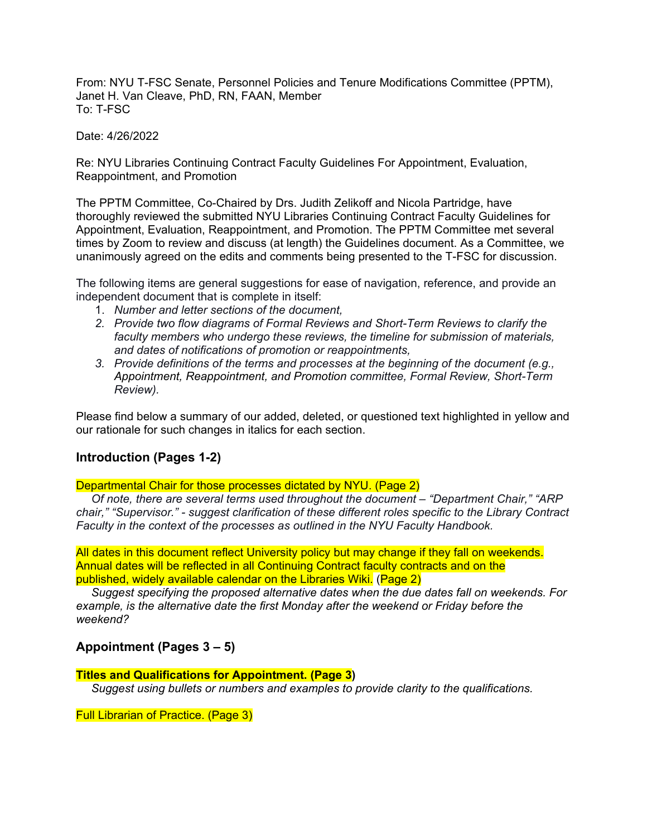From: NYU T-FSC Senate, Personnel Policies and Tenure Modifications Committee (PPTM), Janet H. Van Cleave, PhD, RN, FAAN, Member  $To: T-FSC$ 

Date: 4/26/2022

Re: NYU Libraries Continuing Contract Faculty Guidelines For Appointment, Evaluation, Reappointment, and Promotion

The PPTM Committee, Co-Chaired by Drs. Judith Zelikoff and Nicola Partridge, have thoroughly reviewed the submitted NYU Libraries Continuing Contract Faculty Guidelines for Appointment, Evaluation, Reappointment, and Promotion. The PPTM Committee met several times by Zoom to review and discuss (at length) the Guidelines document. As a Committee, we unanimously agreed on the edits and comments being presented to the T-FSC for discussion.

The following items are general suggestions for ease of navigation, reference, and provide an independent document that is complete in itself:

- 1. *Number and letter sections of the document,*
- *2. Provide two flow diagrams of Formal Reviews and Short-Term Reviews to clarify the faculty members who undergo these reviews, the timeline for submission of materials, and dates of notifications of promotion or reappointments,*
- *3. Provide definitions of the terms and processes at the beginning of the document (e.g., Appointment, Reappointment, and Promotion committee, Formal Review, Short-Term Review).*

Please find below a summary of our added, deleted, or questioned text highlighted in yellow and our rationale for such changes in italics for each section.

## **Introduction (Pages 1-2)**

Departmental Chair for those processes dictated by NYU. (Page 2)

*Of note, there are several terms used throughout the document – "Department Chair," "ARP chair," "Supervisor." - suggest clarification of these different roles specific to the Library Contract Faculty in the context of the processes as outlined in the NYU Faculty Handbook.*

All dates in this document reflect University policy but may change if they fall on weekends. Annual dates will be reflected in all Continuing Contract faculty contracts and on the published, widely available calendar on the Libraries Wiki. (Page 2)

*Suggest specifying the proposed alternative dates when the due dates fall on weekends. For example, is the alternative date the first Monday after the weekend or Friday before the weekend?*

#### **Appointment (Pages 3 – 5)**

#### **Titles and Qualifications for Appointment. (Page 3)**

*Suggest using bullets or numbers and examples to provide clarity to the qualifications.*

Full Librarian of Practice. (Page 3)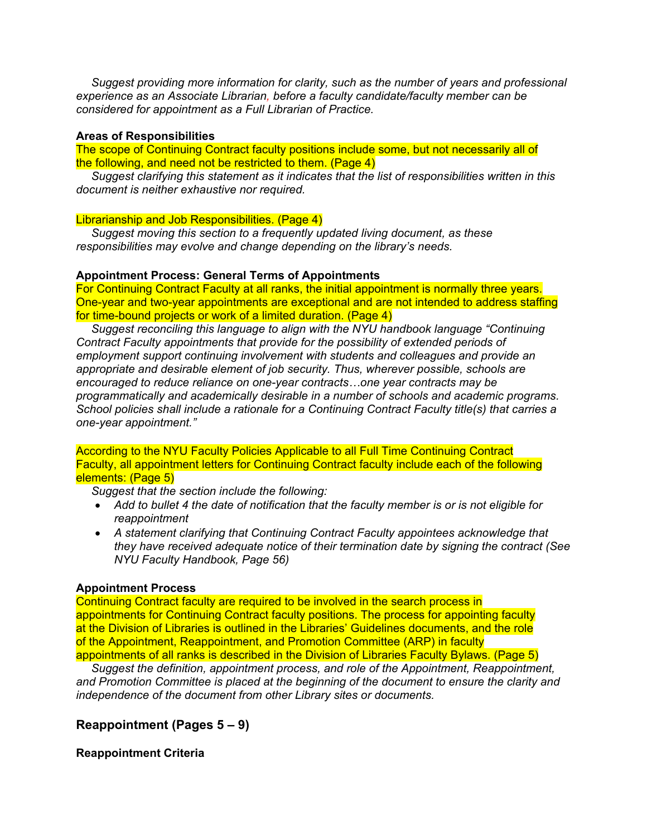*Suggest providing more information for clarity, such as the number of years and professional experience as an Associate Librarian, before a faculty candidate/faculty member can be considered for appointment as a Full Librarian of Practice.*

#### **Areas of Responsibilities**

The scope of Continuing Contract faculty positions include some, but not necessarily all of the following, and need not be restricted to them. (Page 4)

*Suggest clarifying this statement as it indicates that the list of responsibilities written in this document is neither exhaustive nor required.*

#### Librarianship and Job Responsibilities. (Page 4)

*Suggest moving this section to a frequently updated living document, as these responsibilities may evolve and change depending on the library's needs.*

#### **Appointment Process: General Terms of Appointments**

For Continuing Contract Faculty at all ranks, the initial appointment is normally three years. One-year and two-year appointments are exceptional and are not intended to address staffing for time-bound projects or work of a limited duration. (Page 4)

*Suggest reconciling this language to align with the NYU handbook language "Continuing Contract Faculty appointments that provide for the possibility of extended periods of employment support continuing involvement with students and colleagues and provide an appropriate and desirable element of job security. Thus, wherever possible, schools are encouraged to reduce reliance on one-year contracts…one year contracts may be programmatically and academically desirable in a number of schools and academic programs. School policies shall include a rationale for a Continuing Contract Faculty title(s) that carries a one-year appointment."* 

According to the NYU Faculty Policies Applicable to all Full Time Continuing Contract Faculty, all appointment letters for Continuing Contract faculty include each of the following elements: (Page 5)

*Suggest that the section include the following:*

- *Add to bullet 4 the date of notification that the faculty member is or is not eligible for reappointment*
- *A statement clarifying that Continuing Contract Faculty appointees acknowledge that they have received adequate notice of their termination date by signing the contract (See NYU Faculty Handbook, Page 56)*

#### **Appointment Process**

Continuing Contract faculty are required to be involved in the search process in appointments for Continuing Contract faculty positions. The process for appointing faculty at the Division of Libraries is outlined in the Libraries' Guidelines documents, and the role of the Appointment, Reappointment, and Promotion Committee (ARP) in faculty appointments of all ranks is described in the Division of Libraries Faculty Bylaws. (Page 5)

*Suggest the definition, appointment process, and role of the Appointment, Reappointment, and Promotion Committee is placed at the beginning of the document to ensure the clarity and independence of the document from other Library sites or documents.* 

#### **Reappointment (Pages 5 – 9)**

**Reappointment Criteria**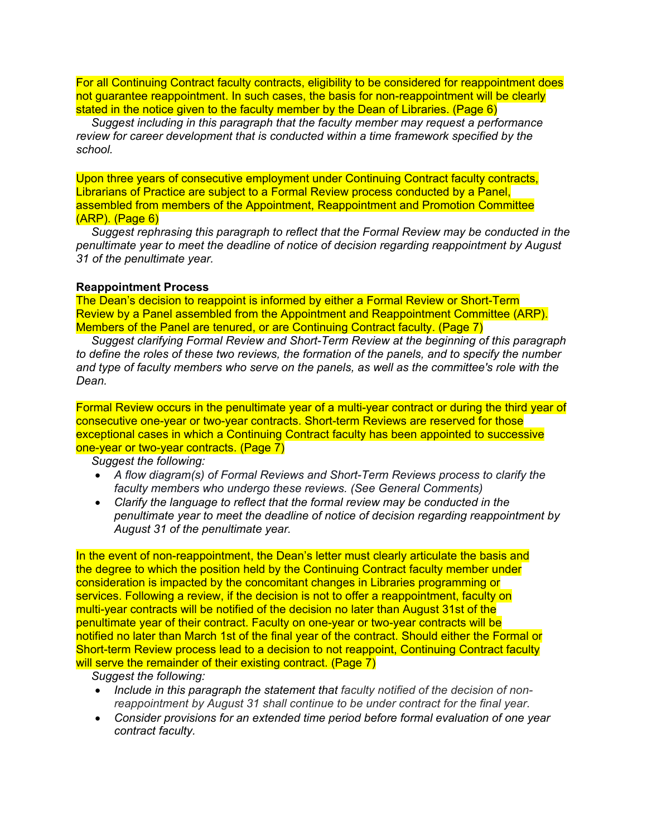For all Continuing Contract faculty contracts, eligibility to be considered for reappointment does not guarantee reappointment. In such cases, the basis for non-reappointment will be clearly stated in the notice given to the faculty member by the Dean of Libraries. (Page 6)

*Suggest including in this paragraph that the faculty member may request a performance review for career development that is conducted within a time framework specified by the school.* 

Upon three years of consecutive employment under Continuing Contract faculty contracts, Librarians of Practice are subject to a Formal Review process conducted by a Panel, assembled from members of the Appointment, Reappointment and Promotion Committee (ARP). (Page 6)

*Suggest rephrasing this paragraph to reflect that the Formal Review may be conducted in the penultimate year to meet the deadline of notice of decision regarding reappointment by August 31 of the penultimate year.* 

#### **Reappointment Process**

The Dean's decision to reappoint is informed by either a Formal Review or Short-Term Review by a Panel assembled from the Appointment and Reappointment Committee (ARP). Members of the Panel are tenured, or are Continuing Contract faculty. (Page 7)

*Suggest clarifying Formal Review and Short-Term Review at the beginning of this paragraph to define the roles of these two reviews, the formation of the panels, and to specify the number and type of faculty members who serve on the panels, as well as the committee's role with the Dean.*

Formal Review occurs in the penultimate year of a multi-year contract or during the third year of consecutive one-year or two-year contracts. Short-term Reviews are reserved for those exceptional cases in which a Continuing Contract faculty has been appointed to successive one-year or two-year contracts. (Page 7)

*Suggest the following:*

- *A flow diagram(s) of Formal Reviews and Short-Term Reviews process to clarify the faculty members who undergo these reviews. (See General Comments)*
- *Clarify the language to reflect that the formal review may be conducted in the penultimate year to meet the deadline of notice of decision regarding reappointment by August 31 of the penultimate year.*

In the event of non-reappointment, the Dean's letter must clearly articulate the basis and the degree to which the position held by the Continuing Contract faculty member under consideration is impacted by the concomitant changes in Libraries programming or services. Following a review, if the decision is not to offer a reappointment, faculty on multi-year contracts will be notified of the decision no later than August 31st of the penultimate year of their contract. Faculty on one-year or two-year contracts will be notified no later than March 1st of the final year of the contract. Should either the Formal or Short-term Review process lead to a decision to not reappoint, Continuing Contract faculty will serve the remainder of their existing contract. (Page 7)

*Suggest the following:* 

- *Include in this paragraph the statement that faculty notified of the decision of nonreappointment by August 31 shall continue to be under contract for the final year.*
- *Consider provisions for an extended time period before formal evaluation of one year contract faculty.*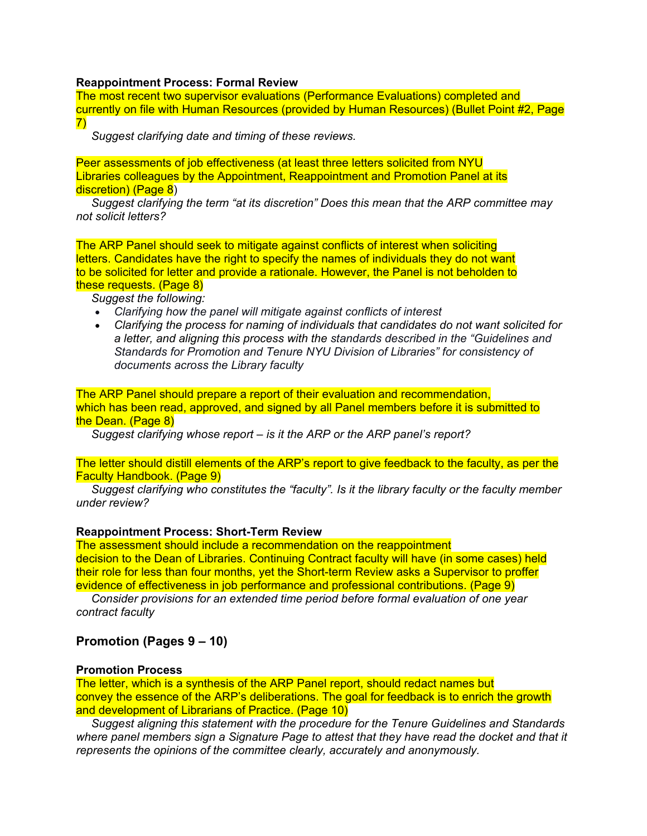#### **Reappointment Process: Formal Review**

The most recent two supervisor evaluations (Performance Evaluations) completed and currently on file with Human Resources (provided by Human Resources) (Bullet Point #2, Page 7)

*Suggest clarifying date and timing of these reviews.* 

Peer assessments of job effectiveness (at least three letters solicited from NYU Libraries colleagues by the Appointment, Reappointment and Promotion Panel at its discretion) (Page 8)

*Suggest clarifying the term "at its discretion" Does this mean that the ARP committee may not solicit letters?* 

The ARP Panel should seek to mitigate against conflicts of interest when soliciting letters. Candidates have the right to specify the names of individuals they do not want to be solicited for letter and provide a rationale. However, the Panel is not beholden to these requests. (Page 8)

#### *Suggest the following:*

- *Clarifying how the panel will mitigate against conflicts of interest*
- *Clarifying the process for naming of individuals that candidates do not want solicited for a letter, and aligning this process with the standards described in the "Guidelines and Standards for Promotion and Tenure NYU Division of Libraries" for consistency of documents across the Library faculty*

The ARP Panel should prepare a report of their evaluation and recommendation, which has been read, approved, and signed by all Panel members before it is submitted to the Dean. (Page 8)

*Suggest clarifying whose report – is it the ARP or the ARP panel's report?*

The letter should distill elements of the ARP's report to give feedback to the faculty, as per the Faculty Handbook. (Page 9)

*Suggest clarifying who constitutes the "faculty". Is it the library faculty or the faculty member under review?*

#### **Reappointment Process: Short-Term Review**

The assessment should include a recommendation on the reappointment decision to the Dean of Libraries. Continuing Contract faculty will have (in some cases) held their role for less than four months, yet the Short-term Review asks a Supervisor to proffer evidence of effectiveness in job performance and professional contributions. (Page 9)

*Consider provisions for an extended time period before formal evaluation of one year contract faculty*

#### **Promotion (Pages 9 – 10)**

#### **Promotion Process**

The letter, which is a synthesis of the ARP Panel report, should redact names but convey the essence of the ARP's deliberations. The goal for feedback is to enrich the growth and development of Librarians of Practice. (Page 10)

*Suggest aligning this statement with the procedure for the Tenure Guidelines and Standards where panel members sign a Signature Page to attest that they have read the docket and that it represents the opinions of the committee clearly, accurately and anonymously.*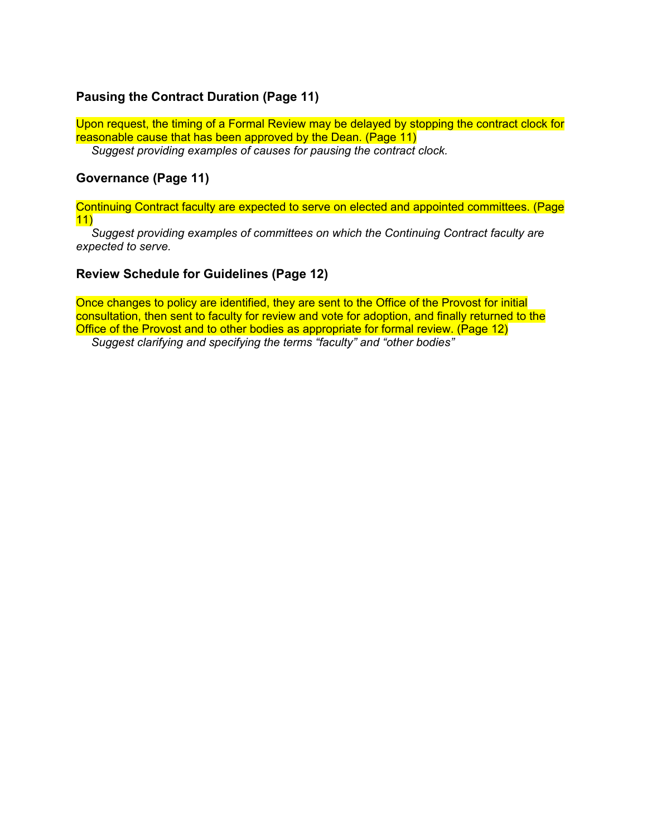## **Pausing the Contract Duration (Page 11)**

Upon request, the timing of a Formal Review may be delayed by stopping the contract clock for reasonable cause that has been approved by the Dean. (Page 11)

*Suggest providing examples of causes for pausing the contract clock.* 

### **Governance (Page 11)**

Continuing Contract faculty are expected to serve on elected and appointed committees. (Page 11)

*Suggest providing examples of committees on which the Continuing Contract faculty are expected to serve.*

## **Review Schedule for Guidelines (Page 12)**

Once changes to policy are identified, they are sent to the Office of the Provost for initial consultation, then sent to faculty for review and vote for adoption, and finally returned to the Office of the Provost and to other bodies as appropriate for formal review. (Page 12) *Suggest clarifying and specifying the terms "faculty" and "other bodies"*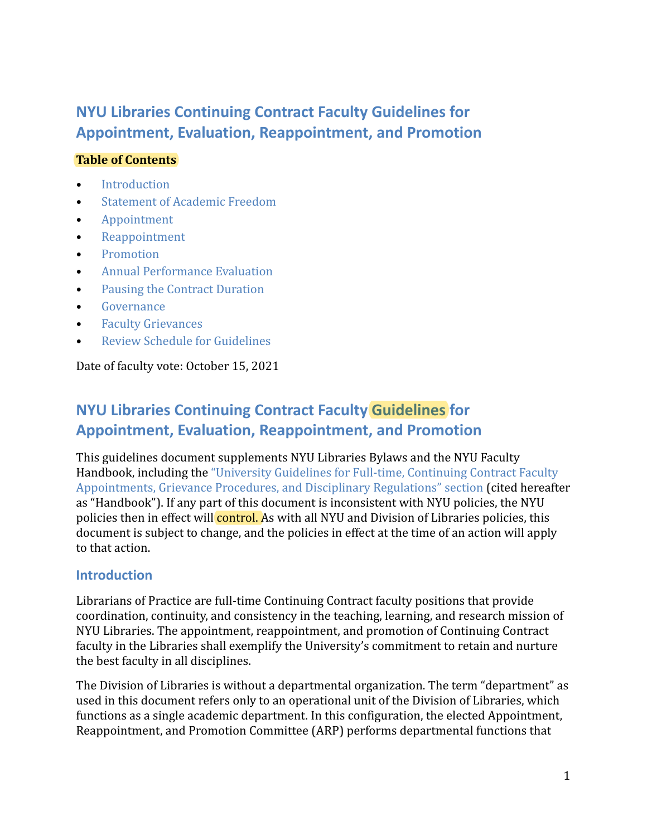# **NYU Libraries Continuing Contract Faculty Guidelines for Appointment, Evaluation, Reappointment, and Promotion**

# **Table of Contents**

- [Introduction](#page-6-0)
- [Statement of Academic Freedom](#page-7-0)
- [Appointment](#page-8-0)
- [Reappointment](#page-10-0)
- [Promotion](#page-14-0)
- [Annual Performance Evaluation](#page-16-0)
- [Pausing the Contract Duration](#page-16-1)
- [Governance](#page-16-2)
- [Faculty Grievances](#page-16-3)
- [Review Schedule for Guidelines](#page-17-0)

Date of faculty vote: October 15, 2021

# **NYU Libraries Continuing Contract Faculty Guidelines for Appointment, Evaluation, Reappointment, and Promotion**

This guidelines document supplements NYU Libraries Bylaws and the NYU Faculty Handbook, including the ["University Guidelines for Full-time, Continuing Contract Faculty](https://www.nyu.edu/faculty/governance-policies-and-procedures/faculty-handbook/the-faculty/faculty-policies-applicable-to-full-time-continuing-contract-faculty.html) [Appointments, Grievance Procedures, and Disciplinary Regulations" section](https://www.nyu.edu/faculty/governance-policies-and-procedures/faculty-handbook/the-faculty/faculty-policies-applicable-to-full-time-continuing-contract-faculty.html) (cited hereafter as "Handbook"). If any part of this document is inconsistent with NYU policies, the NYU policies then in effect will **control.** As with all NYU and Division of Libraries policies, this document is subject to change, and the policies in effect at the time of an action will apply to that action.

# <span id="page-6-0"></span>**Introduction**

Librarians of Practice are full-time Continuing Contract faculty positions that provide coordination, continuity, and consistency in the teaching, learning, and research mission of NYU Libraries. The appointment, reappointment, and promotion of Continuing Contract faculty in the Libraries shall exemplify the University's commitment to retain and nurture the best faculty in all disciplines.

The Division of Libraries is without a departmental organization. The term "department" as used in this document refers only to an operational unit of the Division of Libraries, which functions as a single academic department. In this configuration, the elected Appointment, Reappointment, and Promotion Committee (ARP) performs departmental functions that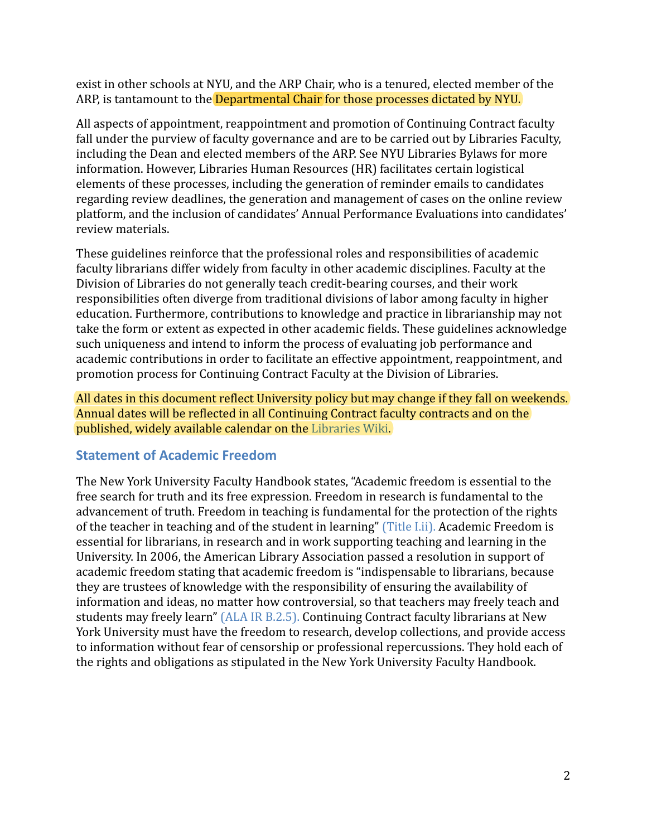exist in other schools at NYU, and the ARP Chair, who is a tenured, elected member of the ARP, is tantamount to the **Departmental Chair for those processes dictated by NYU.** 

All aspects of appointment, reappointment and promotion of Continuing Contract faculty fall under the purview of faculty governance and are to be carried out by Libraries Faculty, including the Dean and elected members of the ARP. See NYU Libraries Bylaws for more information. However, Libraries Human Resources (HR) facilitates certain logistical elements of these processes, including the generation of reminder emails to candidates regarding review deadlines, the generation and management of cases on the online review platform, and the inclusion of candidates' Annual Performance Evaluations into candidates' review materials.

These guidelines reinforce that the professional roles and responsibilities of academic faculty librarians differ widely from faculty in other academic disciplines. Faculty at the Division of Libraries do not generally teach credit-bearing courses, and their work responsibilities often diverge from traditional divisions of labor among faculty in higher education. Furthermore, contributions to knowledge and practice in librarianship may not take the form or extent as expected in other academic fields. These guidelines acknowledge such uniqueness and intend to inform the process of evaluating job performance and academic contributions in order to facilitate an effective appointment, reappointment, and promotion process for Continuing Contract Faculty at the Division of Libraries.

All dates in this document reflect University policy but may change if they fall on weekends. Annual dates will be reflected in all Continuing Contract faculty contracts and on the published, widely available calendar on the [Libraries Wiki.](https://wiki.library.nyu.edu/display/DEAN/Faculty)

# <span id="page-7-0"></span>**Statement of Academic Freedom**

The New York University Faculty Handbook states, "Academic freedom is essential to the free search for truth and its free expression. Freedom in research is fundamental to the advancement of truth. Freedom in teaching is fundamental for the protection of the rights of the teacher in teaching and of the student in learning" [\(Title I.ii\).](https://www.nyu.edu/faculty/governance-policies-and-procedures/faculty-handbook/the-faculty/policies-applicable-to-tenured-and-tenure-track-faculty/academic-freedom-and-tenure/title-i.html) Academic Freedom is essential for librarians, in research and in work supporting teaching and learning in the University. In 2006, the American Library Association passed a resolution in support of academic freedom stating that academic freedom is "indispensable to librarians, because they are trustees of knowledge with the responsibility of ensuring the availability of information and ideas, no matter how controversial, so that teachers may freely teach and students may freely learn" [\(ALA IR B.2.5\).](https://alair.ala.org/handle/11213/1647) Continuing Contract faculty librarians at New York University must have the freedom to research, develop collections, and provide access to information without fear of censorship or professional repercussions. They hold each of the rights and obligations as stipulated in the New York University Faculty Handbook.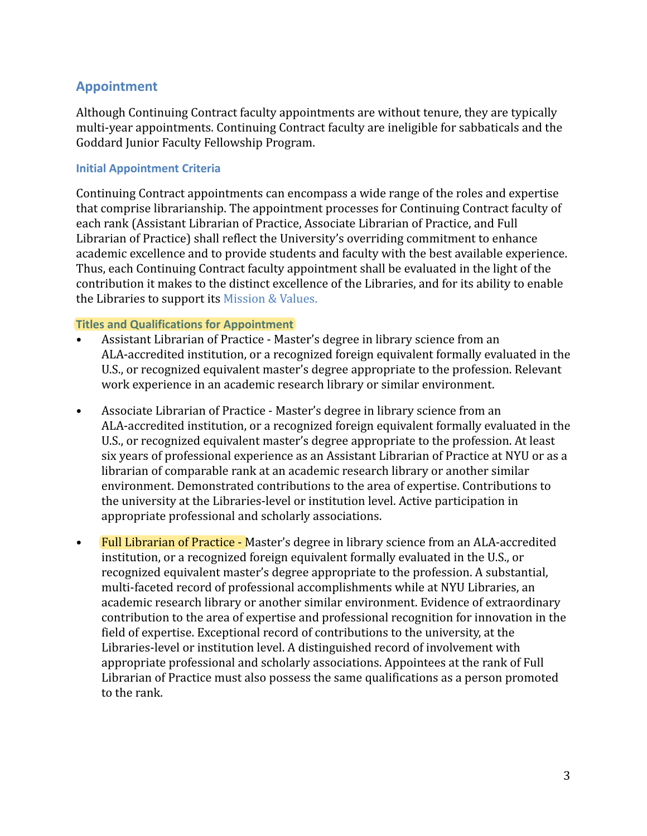# <span id="page-8-0"></span>**Appointment**

Although Continuing Contract faculty appointments are without tenure, they are typically multi-year appointments. Continuing Contract faculty are ineligible for sabbaticals and the Goddard Junior Faculty Fellowship Program.

## **Initial Appointment Criteria**

Continuing Contract appointments can encompass a wide range of the roles and expertise that comprise librarianship. The appointment processes for Continuing Contract faculty of each rank (Assistant Librarian of Practice, Associate Librarian of Practice, and Full Librarian of Practice) shall reflect the University's overriding commitment to enhance academic excellence and to provide students and faculty with the best available experience. Thus, each Continuing Contract faculty appointment shall be evaluated in the light of the contribution it makes to the distinct excellence of the Libraries, and for its ability to enable the Libraries to support its [Mission & Values.](https://library.nyu.edu/about/general/values/)

## **Titles and Qualifications for Appointment**

- Assistant Librarian of Practice Master's degree in library science from an ALA-accredited institution, or a recognized foreign equivalent formally evaluated in the U.S., or recognized equivalent master's degree appropriate to the profession. Relevant work experience in an academic research library or similar environment.
- Associate Librarian of Practice Master's degree in library science from an ALA-accredited institution, or a recognized foreign equivalent formally evaluated in the U.S., or recognized equivalent master's degree appropriate to the profession. At least six years of professional experience as an Assistant Librarian of Practice at NYU or as a librarian of comparable rank at an academic research library or another similar environment. Demonstrated contributions to the area of expertise. Contributions to the university at the Libraries-level or institution level. Active participation in appropriate professional and scholarly associations.
- Full Librarian of Practice Master's degree in library science from an ALA-accredited institution, or a recognized foreign equivalent formally evaluated in the U.S., or recognized equivalent master's degree appropriate to the profession. A substantial, multi-faceted record of professional accomplishments while at NYU Libraries, an academic research library or another similar environment. Evidence of extraordinary contribution to the area of expertise and professional recognition for innovation in the field of expertise. Exceptional record of contributions to the university, at the Libraries-level or institution level. A distinguished record of involvement with appropriate professional and scholarly associations. Appointees at the rank of Full Librarian of Practice must also possess the same qualifications as a person promoted to the rank.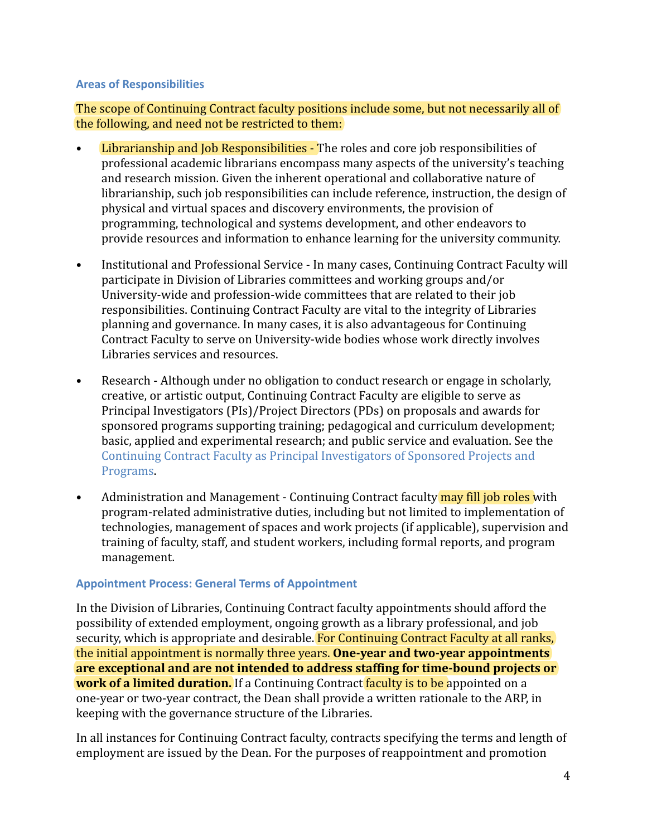### **Areas of Responsibilities**

The scope of Continuing Contract faculty positions include some, but not necessarily all of the following, and need not be restricted to them:

- Librarianship and Job Responsibilities The roles and core job responsibilities of professional academic librarians encompass many aspects of the university's teaching and research mission. Given the inherent operational and collaborative nature of librarianship, such job responsibilities can include reference, instruction, the design of physical and virtual spaces and discovery environments, the provision of programming, technological and systems development, and other endeavors to provide resources and information to enhance learning for the university community.
- Institutional and Professional Service In many cases, Continuing Contract Faculty will participate in Division of Libraries committees and working groups and/or University-wide and profession-wide committees that are related to their job responsibilities. Continuing Contract Faculty are vital to the integrity of Libraries planning and governance. In many cases, it is also advantageous for Continuing Contract Faculty to serve on University-wide bodies whose work directly involves Libraries services and resources.
- Research Although under no obligation to conduct research or engage in scholarly. creative, or artistic output, Continuing Contract Faculty are eligible to serve as Principal Investigators (PIs)/Project Directors (PDs) on proposals and awards for sponsored programs supporting training; pedagogical and curriculum development; basic, applied and experimental research; and public service and evaluation. See the [Continuing Contract Faculty as Principal Investigators of Sponsored Projects and](https://www.nyu.edu/about/policies-guidelines-compliance/policies-and-guidelines/continuing-contract-faculty-as-principal-investigators-of-sponso.html) [Programs.](https://www.nyu.edu/about/policies-guidelines-compliance/policies-and-guidelines/continuing-contract-faculty-as-principal-investigators-of-sponso.html)
- Administration and Management Continuing Contract faculty **may fill job roles** with program-related administrative duties, including but not limited to implementation of technologies, management of spaces and work projects (if applicable), supervision and training of faculty, staff, and student workers, including formal reports, and program management.

## **Appointment Process: General Terms of Appointment**

In the Division of Libraries, Continuing Contract faculty appointments should afford the possibility of extended employment, ongoing growth as a library professional, and job security, which is appropriate and desirable. For Continuing Contract Faculty at all ranks, the initial appointment is normally three years. **One-year and two-year appointments are exceptional and are not intended to address staffing for time-bound projects or work of a limited duration.** If a Continuing Contract **faculty is to be appointed on a** one-year or two-year contract, the Dean shall provide a written rationale to the ARP, in keeping with the governance structure of the Libraries.

In all instances for Continuing Contract faculty, contracts specifying the terms and length of employment are issued by the Dean. For the purposes of reappointment and promotion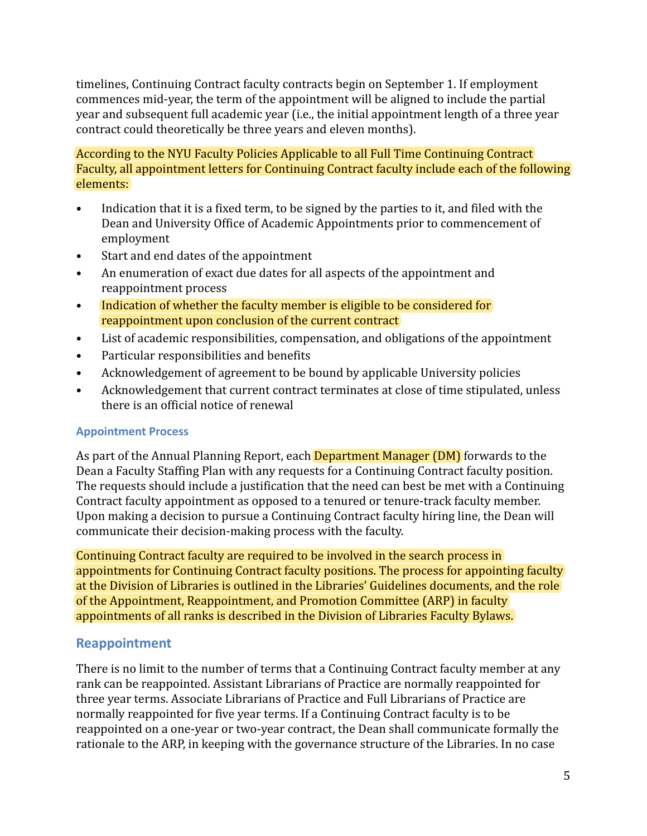timelines, Continuing Contract faculty contracts begin on September 1. If employment commences mid-year, the term of the appointment will be aligned to include the partial year and subsequent full academic year (i.e., the initial appointment length of a three year contract could theoretically be three years and eleven months).

According to the NYU Faculty Policies Applicable to all Full Time Continuing Contract Faculty, all appointment letters for Continuing Contract faculty include each of the following elements:

- Indication that it is a fixed term, to be signed by the parties to it, and filed with the Dean and University Office of Academic Appointments prior to commencement of employment
- Start and end dates of the appointment
- An enumeration of exact due dates for all aspects of the appointment and reappointment process
- Indication of whether the faculty member is eligible to be considered for reappointment upon conclusion of the current contract
- List of academic responsibilities, compensation, and obligations of the appointment
- Particular responsibilities and benefits
- Acknowledgement of agreement to be bound by applicable University policies
- Acknowledgement that current contract terminates at close of time stipulated, unless there is an official notice of renewal

## **Appointment Process**

As part of the Annual Planning Report, each **Department Manager (DM)** forwards to the Dean a Faculty Staffing Plan with any requests for a Continuing Contract faculty position. The requests should include a justification that the need can best be met with a Continuing Contract faculty appointment as opposed to a tenured or tenure-track faculty member. Upon making a decision to pursue a Continuing Contract faculty hiring line, the Dean will communicate their decision-making process with the faculty.

Continuing Contract faculty are required to be involved in the search process in appointments for Continuing Contract faculty positions. The process for appointing faculty at the Division of Libraries is outlined in the Libraries' Guidelines documents, and the role of the Appointment, Reappointment, and Promotion Committee (ARP) in faculty appointments of all ranks is described in the Division of Libraries Faculty Bylaws.

# <span id="page-10-0"></span>**Reappointment**

There is no limit to the number of terms that a Continuing Contract faculty member at any rank can be reappointed. Assistant Librarians of Practice are normally reappointed for three year terms. Associate Librarians of Practice and Full Librarians of Practice are normally reappointed for five year terms. If a Continuing Contract faculty is to be reappointed on a one-year or two-year contract, the Dean shall communicate formally the rationale to the ARP, in keeping with the governance structure of the Libraries. In no case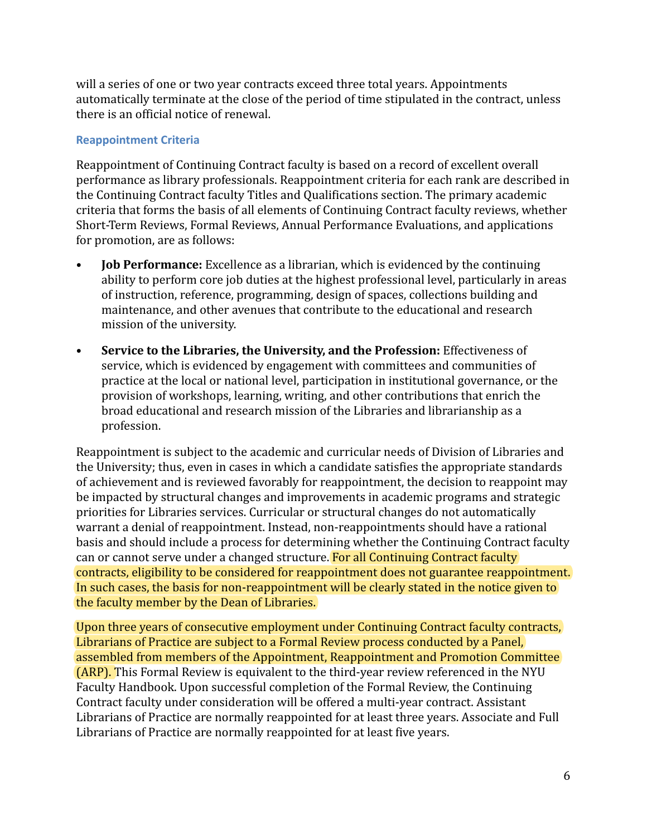will a series of one or two year contracts exceed three total years. Appointments automatically terminate at the close of the period of time stipulated in the contract, unless there is an official notice of renewal.

## **Reappointment Criteria**

Reappointment of Continuing Contract faculty is based on a record of excellent overall performance as library professionals. Reappointment criteria for each rank are described in the Continuing Contract faculty Titles and Qualifications section. The primary academic criteria that forms the basis of all elements of Continuing Contract faculty reviews, whether Short-Term Reviews, Formal Reviews, Annual Performance Evaluations, and applications for promotion, are as follows:

- **Job Performance:** Excellence as a librarian, which is evidenced by the continuing ability to perform core job duties at the highest professional level, particularly in areas of instruction, reference, programming, design of spaces, collections building and maintenance, and other avenues that contribute to the educational and research mission of the university.
- **Service to the Libraries, the University, and the Profession:** Effectiveness of service, which is evidenced by engagement with committees and communities of practice at the local or national level, participation in institutional governance, or the provision of workshops, learning, writing, and other contributions that enrich the broad educational and research mission of the Libraries and librarianship as a profession.

Reappointment is subject to the academic and curricular needs of Division of Libraries and the University; thus, even in cases in which a candidate satisfies the appropriate standards of achievement and is reviewed favorably for reappointment, the decision to reappoint may be impacted by structural changes and improvements in academic programs and strategic priorities for Libraries services. Curricular or structural changes do not automatically warrant a denial of reappointment. Instead, non-reappointments should have a rational basis and should include a process for determining whether the Continuing Contract faculty can or cannot serve under a changed structure. For all Continuing Contract faculty contracts, eligibility to be considered for reappointment does not guarantee reappointment. In such cases, the basis for non-reappointment will be clearly stated in the notice given to the faculty member by the Dean of Libraries.

Upon three years of consecutive employment under Continuing Contract faculty contracts, Librarians of Practice are subject to a Formal Review process conducted by a Panel, assembled from members of the Appointment, Reappointment and Promotion Committee (ARP). This Formal Review is equivalent to the third-year review referenced in the NYU Faculty Handbook. Upon successful completion of the Formal Review, the Continuing Contract faculty under consideration will be offered a multi-year contract. Assistant Librarians of Practice are normally reappointed for at least three years. Associate and Full Librarians of Practice are normally reappointed for at least five years.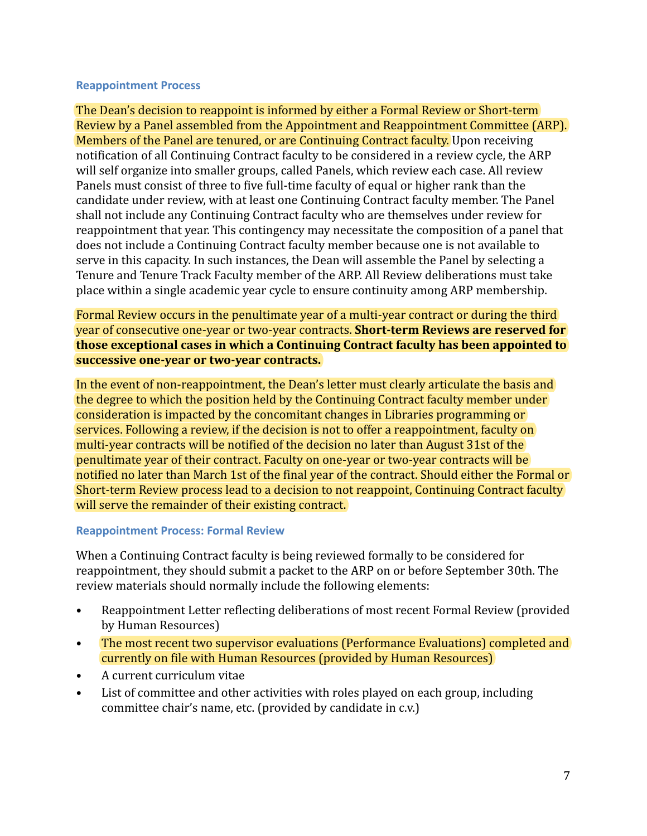#### **Reappointment Process**

The Dean's decision to reappoint is informed by either a Formal Review or Short-term Review by a Panel assembled from the Appointment and Reappointment Committee (ARP). Members of the Panel are tenured, or are Continuing Contract faculty. Upon receiving notification of all Continuing Contract faculty to be considered in a review cycle, the ARP will self organize into smaller groups, called Panels, which review each case. All review Panels must consist of three to five full-time faculty of equal or higher rank than the candidate under review, with at least one Continuing Contract faculty member. The Panel shall not include any Continuing Contract faculty who are themselves under review for reappointment that year. This contingency may necessitate the composition of a panel that does not include a Continuing Contract faculty member because one is not available to serve in this capacity. In such instances, the Dean will assemble the Panel by selecting a Tenure and Tenure Track Faculty member of the ARP. All Review deliberations must take place within a single academic year cycle to ensure continuity among ARP membership.

Formal Review occurs in the penultimate year of a multi-year contract or during the third year of consecutive one-year or two-year contracts. **Short-term Reviews are reserved for those exceptional cases in which a Continuing Contract faculty has been appointed to successive one-year or two-year contracts.**

In the event of non-reappointment, the Dean's letter must clearly articulate the basis and the degree to which the position held by the Continuing Contract faculty member under consideration is impacted by the concomitant changes in Libraries programming or services. Following a review, if the decision is not to offer a reappointment, faculty on multi-year contracts will be notified of the decision no later than August 31st of the penultimate year of their contract. Faculty on one-year or two-year contracts will be notified no later than March 1st of the final year of the contract. Should either the Formal or Short-term Review process lead to a decision to not reappoint, Continuing Contract faculty will serve the remainder of their existing contract.

#### **Reappointment Process: Formal Review**

When a Continuing Contract faculty is being reviewed formally to be considered for reappointment, they should submit a packet to the ARP on or before September 30th. The review materials should normally include the following elements:

- Reappointment Letter reflecting deliberations of most recent Formal Review (provided by Human Resources)
- The most recent two supervisor evaluations (Performance Evaluations) completed and currently on file with Human Resources (provided by Human Resources)
- A current curriculum vitae
- List of committee and other activities with roles played on each group, including committee chair's name, etc. (provided by candidate in c.v.)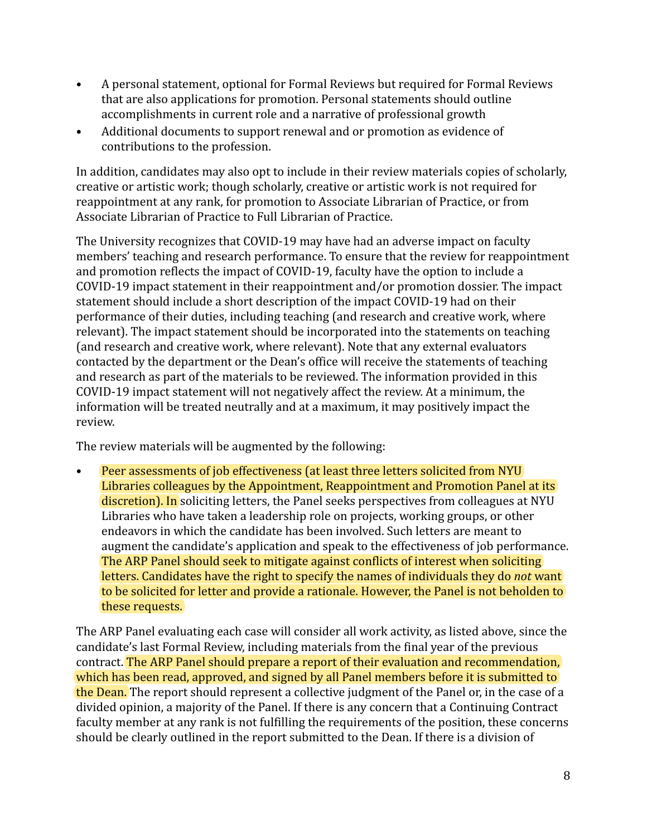- A personal statement, optional for Formal Reviews but required for Formal Reviews that are also applications for promotion. Personal statements should outline accomplishments in current role and a narrative of professional growth
- Additional documents to support renewal and or promotion as evidence of contributions to the profession.

In addition, candidates may also opt to include in their review materials copies of scholarly, creative or artistic work; though scholarly, creative or artistic work is not required for reappointment at any rank, for promotion to Associate Librarian of Practice, or from Associate Librarian of Practice to Full Librarian of Practice.

The University recognizes that COVID-19 may have had an adverse impact on faculty members' teaching and research performance. To ensure that the review for reappointment and promotion reflects the impact of COVID-19, faculty have the option to include a COVID-19 impact statement in their reappointment and/or promotion dossier. The impact statement should include a short description of the impact COVID-19 had on their performance of their duties, including teaching (and research and creative work, where relevant). The impact statement should be incorporated into the statements on teaching (and research and creative work, where relevant). Note that any external evaluators contacted by the department or the Dean's office will receive the statements of teaching and research as part of the materials to be reviewed. The information provided in this COVID-19 impact statement will not negatively affect the review. At a minimum, the information will be treated neutrally and at a maximum, it may positively impact the review.

The review materials will be augmented by the following:

• Peer assessments of job effectiveness (at least three letters solicited from NYU Libraries colleagues by the Appointment, Reappointment and Promotion Panel at its discretion). In soliciting letters, the Panel seeks perspectives from colleagues at NYU Libraries who have taken a leadership role on projects, working groups, or other endeavors in which the candidate has been involved. Such letters are meant to augment the candidate's application and speak to the effectiveness of job performance. The ARP Panel should seek to mitigate against conflicts of interest when soliciting letters. Candidates have the right to specify the names of individuals they do *not* want to be solicited for letter and provide a rationale. However, the Panel is not beholden to these requests.

The ARP Panel evaluating each case will consider all work activity, as listed above, since the candidate's last Formal Review, including materials from the final year of the previous contract. The ARP Panel should prepare a report of their evaluation and recommendation, which has been read, approved, and signed by all Panel members before it is submitted to the Dean. The report should represent a collective judgment of the Panel or, in the case of a divided opinion, a majority of the Panel. If there is any concern that a Continuing Contract faculty member at any rank is not fulfilling the requirements of the position, these concerns should be clearly outlined in the report submitted to the Dean. If there is a division of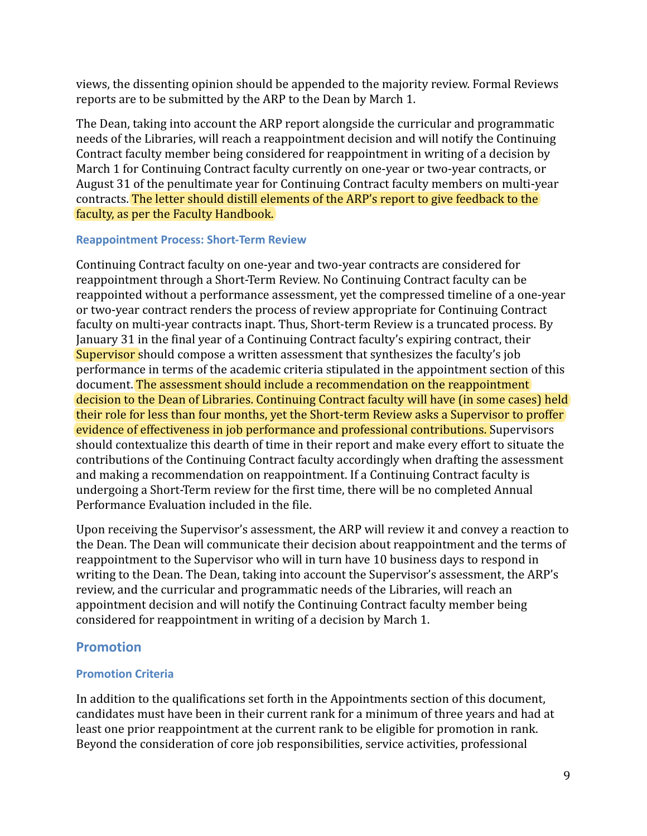views, the dissenting opinion should be appended to the majority review. Formal Reviews reports are to be submitted by the ARP to the Dean by March 1.

The Dean, taking into account the ARP report alongside the curricular and programmatic needs of the Libraries, will reach a reappointment decision and will notify the Continuing Contract faculty member being considered for reappointment in writing of a decision by March 1 for Continuing Contract faculty currently on one-year or two-year contracts, or August 31 of the penultimate year for Continuing Contract faculty members on multi-year contracts. The letter should distill elements of the ARP's report to give feedback to the faculty, as per the Faculty Handbook.

## **Reappointment Process: Short-Term Review**

Continuing Contract faculty on one-year and two-year contracts are considered for reappointment through a Short-Term Review. No Continuing Contract faculty can be reappointed without a performance assessment, yet the compressed timeline of a one-year or two-year contract renders the process of review appropriate for Continuing Contract faculty on multi-year contracts inapt. Thus, Short-term Review is a truncated process. By January 31 in the final year of a Continuing Contract faculty's expiring contract, their Supervisor should compose a written assessment that synthesizes the faculty's job performance in terms of the academic criteria stipulated in the appointment section of this document. The assessment should include a recommendation on the reappointment decision to the Dean of Libraries. Continuing Contract faculty will have (in some cases) held their role for less than four months, yet the Short-term Review asks a Supervisor to proffer evidence of effectiveness in job performance and professional contributions. Supervisors should contextualize this dearth of time in their report and make every effort to situate the contributions of the Continuing Contract faculty accordingly when drafting the assessment and making a recommendation on reappointment. If a Continuing Contract faculty is undergoing a Short-Term review for the first time, there will be no completed Annual Performance Evaluation included in the file.

Upon receiving the Supervisor's assessment, the ARP will review it and convey a reaction to the Dean. The Dean will communicate their decision about reappointment and the terms of reappointment to the Supervisor who will in turn have 10 business days to respond in writing to the Dean. The Dean, taking into account the Supervisor's assessment, the ARP's review, and the curricular and programmatic needs of the Libraries, will reach an appointment decision and will notify the Continuing Contract faculty member being considered for reappointment in writing of a decision by March 1.

# <span id="page-14-0"></span>**Promotion**

# **Promotion Criteria**

In addition to the qualifications set forth in the Appointments section of this document, candidates must have been in their current rank for a minimum of three years and had at least one prior reappointment at the current rank to be eligible for promotion in rank. Beyond the consideration of core job responsibilities, service activities, professional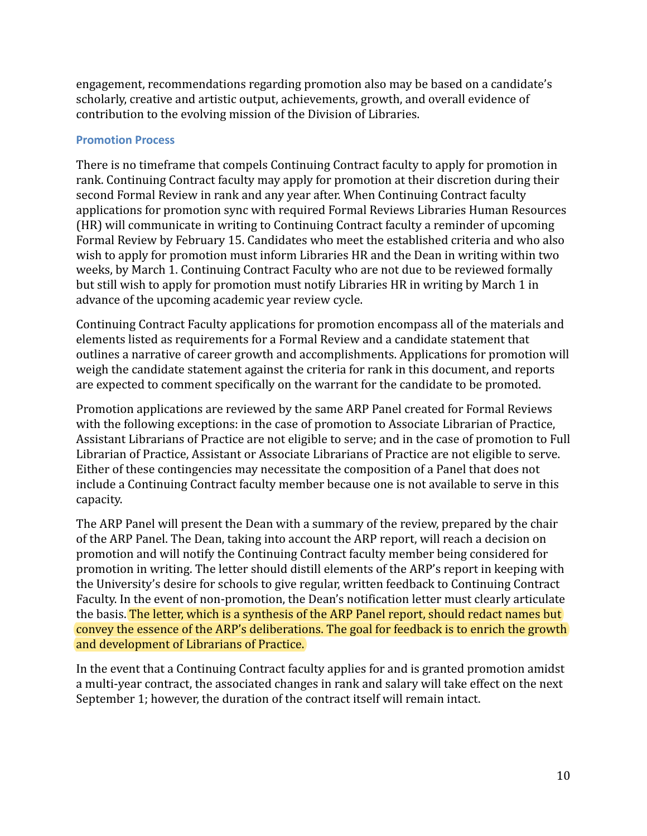engagement, recommendations regarding promotion also may be based on a candidate's scholarly, creative and artistic output, achievements, growth, and overall evidence of contribution to the evolving mission of the Division of Libraries.

### **Promotion Process**

There is no timeframe that compels Continuing Contract faculty to apply for promotion in rank. Continuing Contract faculty may apply for promotion at their discretion during their second Formal Review in rank and any year after. When Continuing Contract faculty applications for promotion sync with required Formal Reviews Libraries Human Resources (HR) will communicate in writing to Continuing Contract faculty a reminder of upcoming Formal Review by February 15. Candidates who meet the established criteria and who also wish to apply for promotion must inform Libraries HR and the Dean in writing within two weeks, by March 1. Continuing Contract Faculty who are not due to be reviewed formally but still wish to apply for promotion must notify Libraries HR in writing by March 1 in advance of the upcoming academic year review cycle.

Continuing Contract Faculty applications for promotion encompass all of the materials and elements listed as requirements for a Formal Review and a candidate statement that outlines a narrative of career growth and accomplishments. Applications for promotion will weigh the candidate statement against the criteria for rank in this document, and reports are expected to comment specifically on the warrant for the candidate to be promoted.

Promotion applications are reviewed by the same ARP Panel created for Formal Reviews with the following exceptions: in the case of promotion to Associate Librarian of Practice, Assistant Librarians of Practice are not eligible to serve; and in the case of promotion to Full Librarian of Practice, Assistant or Associate Librarians of Practice are not eligible to serve. Either of these contingencies may necessitate the composition of a Panel that does not include a Continuing Contract faculty member because one is not available to serve in this capacity.

The ARP Panel will present the Dean with a summary of the review, prepared by the chair of the ARP Panel. The Dean, taking into account the ARP report, will reach a decision on promotion and will notify the Continuing Contract faculty member being considered for promotion in writing. The letter should distill elements of the ARP's report in keeping with the University's desire for schools to give regular, written feedback to Continuing Contract Faculty. In the event of non-promotion, the Dean's notification letter must clearly articulate the basis. The letter, which is a synthesis of the ARP Panel report, should redact names but convey the essence of the ARP's deliberations. The goal for feedback is to enrich the growth and development of Librarians of Practice.

In the event that a Continuing Contract faculty applies for and is granted promotion amidst a multi-year contract, the associated changes in rank and salary will take effect on the next September 1; however, the duration of the contract itself will remain intact.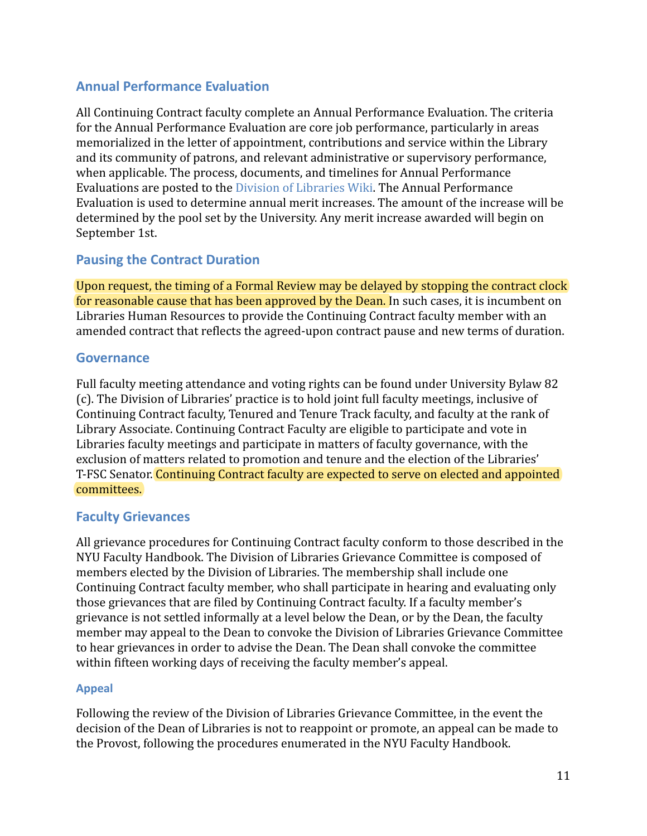# <span id="page-16-0"></span>**Annual Performance Evaluation**

All Continuing Contract faculty complete an Annual Performance Evaluation. The criteria for the Annual Performance Evaluation are core job performance, particularly in areas memorialized in the letter of appointment, contributions and service within the Library and its community of patrons, and relevant administrative or supervisory performance, when applicable. The process, documents, and timelines for Annual Performance Evaluations are posted to the [Division of Libraries Wiki.](https://wiki.library.nyu.edu/display/DEAN/Faculty) The Annual Performance Evaluation is used to determine annual merit increases. The amount of the increase will be determined by the pool set by the University. Any merit increase awarded will begin on September 1st.

# <span id="page-16-1"></span>**Pausing the Contract Duration**

Upon request, the timing of a Formal Review may be delayed by stopping the contract clock for reasonable cause that has been approved by the Dean. In such cases, it is incumbent on Libraries Human Resources to provide the Continuing Contract faculty member with an amended contract that reflects the agreed-upon contract pause and new terms of duration.

## <span id="page-16-2"></span>**Governance**

Full faculty meeting attendance and voting rights can be found under University Bylaw 82 (c). The Division of Libraries' practice is to hold joint full faculty meetings, inclusive of Continuing Contract faculty, Tenured and Tenure Track faculty, and faculty at the rank of Library Associate. Continuing Contract Faculty are eligible to participate and vote in Libraries faculty meetings and participate in matters of faculty governance, with the exclusion of matters related to promotion and tenure and the election of the Libraries' T-FSC Senator. Continuing Contract faculty are expected to serve on elected and appointed committees.

# <span id="page-16-3"></span>**Faculty Grievances**

All grievance procedures for Continuing Contract faculty conform to those described in the NYU Faculty Handbook. The Division of Libraries Grievance Committee is composed of members elected by the Division of Libraries. The membership shall include one Continuing Contract faculty member, who shall participate in hearing and evaluating only those grievances that are filed by Continuing Contract faculty. If a faculty member's grievance is not settled informally at a level below the Dean, or by the Dean, the faculty member may appeal to the Dean to convoke the Division of Libraries Grievance Committee to hear grievances in order to advise the Dean. The Dean shall convoke the committee within fifteen working days of receiving the faculty member's appeal.

## **Appeal**

Following the review of the Division of Libraries Grievance Committee, in the event the decision of the Dean of Libraries is not to reappoint or promote, an appeal can be made to the Provost, following the procedures enumerated in the NYU Faculty Handbook.